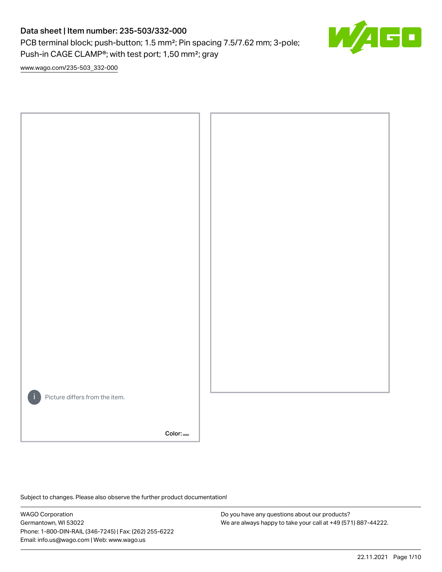PCB terminal block; push-button; 1.5 mm²; Pin spacing 7.5/7.62 mm; 3-pole; Push-in CAGE CLAMP®; with test port; 1,50 mm²; gray



[www.wago.com/235-503\\_332-000](http://www.wago.com/235-503_332-000)



Subject to changes. Please also observe the further product documentation!

WAGO Corporation Germantown, WI 53022 Phone: 1-800-DIN-RAIL (346-7245) | Fax: (262) 255-6222 Email: info.us@wago.com | Web: www.wago.us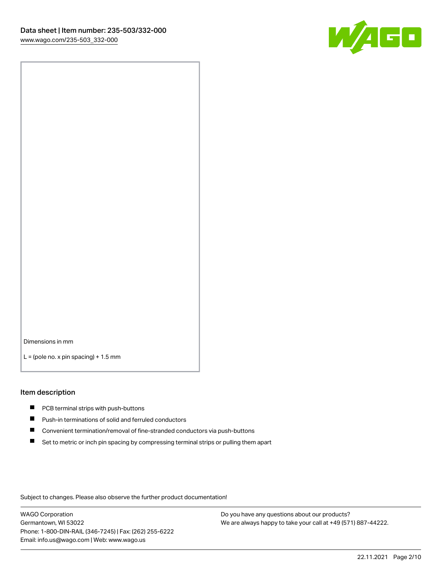

Dimensions in mm

 $L =$  (pole no. x pin spacing) + 1.5 mm

#### Item description

- **PCB terminal strips with push-buttons**
- **Push-in terminations of solid and ferruled conductors**
- $\blacksquare$ Convenient termination/removal of fine-stranded conductors via push-buttons
- Set to metric or inch pin spacing by compressing terminal strips or pulling them apart

Subject to changes. Please also observe the further product documentation!

WAGO Corporation Germantown, WI 53022 Phone: 1-800-DIN-RAIL (346-7245) | Fax: (262) 255-6222 Email: info.us@wago.com | Web: www.wago.us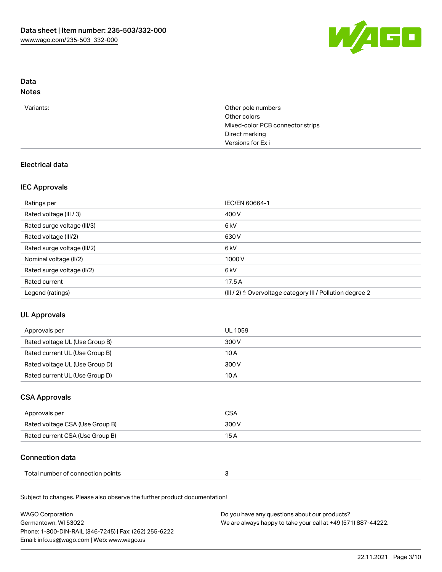

# Data

# Notes

| Variants: | Other pole numbers<br>Other colors |
|-----------|------------------------------------|
|           | Mixed-color PCB connector strips   |
|           | Direct marking                     |
|           | Versions for Exi                   |
|           |                                    |

## Electrical data

### IEC Approvals

| Ratings per                 | IEC/EN 60664-1                                            |
|-----------------------------|-----------------------------------------------------------|
| Rated voltage (III / 3)     | 400 V                                                     |
| Rated surge voltage (III/3) | 6 <sub>k</sub> V                                          |
| Rated voltage (III/2)       | 630 V                                                     |
| Rated surge voltage (III/2) | 6 <sub>kV</sub>                                           |
| Nominal voltage (II/2)      | 1000V                                                     |
| Rated surge voltage (II/2)  | 6 <sub>kV</sub>                                           |
| Rated current               | 17.5A                                                     |
| Legend (ratings)            | (III / 2) ≙ Overvoltage category III / Pollution degree 2 |

# UL Approvals

| Approvals per                  | UL 1059 |
|--------------------------------|---------|
| Rated voltage UL (Use Group B) | 300 V   |
| Rated current UL (Use Group B) | 10 A    |
| Rated voltage UL (Use Group D) | 300 V   |
| Rated current UL (Use Group D) | 10 A    |

## CSA Approvals

| Approvals per                   | CSA   |
|---------------------------------|-------|
| Rated voltage CSA (Use Group B) | 300 V |
| Rated current CSA (Use Group B) | 15 A  |

## Connection data

| Total number of connection points |  |  |
|-----------------------------------|--|--|
|-----------------------------------|--|--|

Subject to changes. Please also observe the further product documentation!

| <b>WAGO Corporation</b>                                | Do you have any questions about our products?                 |
|--------------------------------------------------------|---------------------------------------------------------------|
| Germantown, WI 53022                                   | We are always happy to take your call at +49 (571) 887-44222. |
| Phone: 1-800-DIN-RAIL (346-7245)   Fax: (262) 255-6222 |                                                               |
| Email: info.us@wago.com   Web: www.wago.us             |                                                               |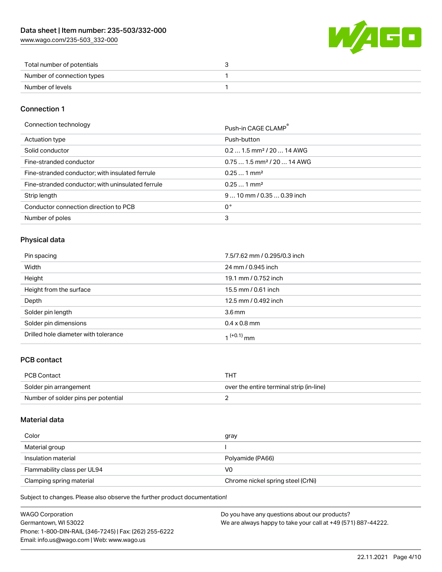[www.wago.com/235-503\\_332-000](http://www.wago.com/235-503_332-000)



| Total number of potentials |  |
|----------------------------|--|
| Number of connection types |  |
| Number of levels           |  |

#### Connection 1

Connection technology **Push-in CAGE CLAMP<sup>®</sup>** 

|                                                   | PUSH-III CAUL CLAMP                    |
|---------------------------------------------------|----------------------------------------|
| Actuation type                                    | Push-button                            |
| Solid conductor                                   | $0.21.5$ mm <sup>2</sup> / 20  14 AWG  |
| Fine-stranded conductor                           | $0.751.5$ mm <sup>2</sup> / 20  14 AWG |
| Fine-stranded conductor; with insulated ferrule   | $0.251$ mm <sup>2</sup>                |
| Fine-stranded conductor; with uninsulated ferrule | $0.251$ mm <sup>2</sup>                |
| Strip length                                      | $910$ mm / 0.35  0.39 inch             |
| Conductor connection direction to PCB             | 0°                                     |
| Number of poles                                   | 3                                      |

### Physical data

| Pin spacing                          | 7.5/7.62 mm / 0.295/0.3 inch |
|--------------------------------------|------------------------------|
| Width                                | 24 mm / 0.945 inch           |
| Height                               | 19.1 mm / 0.752 inch         |
| Height from the surface              | 15.5 mm / 0.61 inch          |
| Depth                                | 12.5 mm / 0.492 inch         |
| Solder pin length                    | 3.6 <sub>mm</sub>            |
| Solder pin dimensions                | $0.4 \times 0.8$ mm          |
| Drilled hole diameter with tolerance | $1^{(+0.1)}$ mm              |

#### PCB contact

| PCB Contact                         | THT                                      |
|-------------------------------------|------------------------------------------|
| Solder pin arrangement              | over the entire terminal strip (in-line) |
| Number of solder pins per potential |                                          |

#### Material data

| Color                       | gray                              |
|-----------------------------|-----------------------------------|
| Material group              |                                   |
| Insulation material         | Polyamide (PA66)                  |
| Flammability class per UL94 | VO                                |
| Clamping spring material    | Chrome nickel spring steel (CrNi) |

Subject to changes. Please also observe the further product documentation!

| <b>WAGO Corporation</b>                                | Do you have any questions about our products?                 |
|--------------------------------------------------------|---------------------------------------------------------------|
| Germantown, WI 53022                                   | We are always happy to take your call at +49 (571) 887-44222. |
| Phone: 1-800-DIN-RAIL (346-7245)   Fax: (262) 255-6222 |                                                               |
| Email: info.us@wago.com   Web: www.wago.us             |                                                               |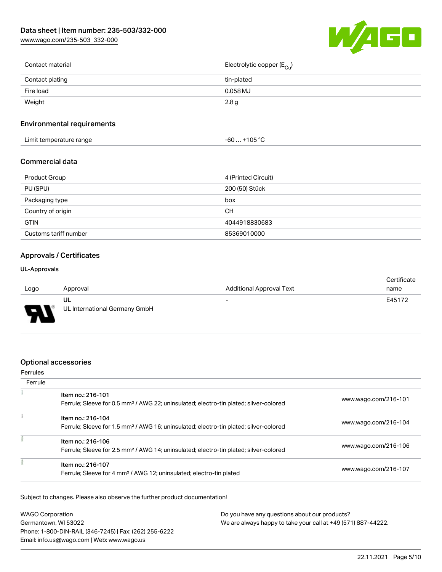[www.wago.com/235-503\\_332-000](http://www.wago.com/235-503_332-000)



| Contact material | Electrolytic copper (E <sub>Cu</sub> ) |
|------------------|----------------------------------------|
| Contact plating  | tin-plated                             |
| Fire load        | 0.058 MJ                               |
| Weight           | 2.8g                                   |
|                  |                                        |

## Environmental requirements

| .<br>Limit temperature range | $.$ +105 $^{\circ}$ $\cdot$<br>-60 |  |
|------------------------------|------------------------------------|--|
|------------------------------|------------------------------------|--|

#### Commercial data

| <b>Product Group</b>  | 4 (Printed Circuit) |
|-----------------------|---------------------|
| PU (SPU)              | 200 (50) Stück      |
| Packaging type        | box                 |
| Country of origin     | CН                  |
| <b>GTIN</b>           | 4044918830683       |
| Customs tariff number | 85369010000         |

## Approvals / Certificates

#### UL-Approvals

|        |                               |                                 | Certificate |
|--------|-------------------------------|---------------------------------|-------------|
| Logo   | Approval                      | <b>Additional Approval Text</b> | name        |
|        | UL                            | $\overline{\phantom{a}}$        | E45172      |
| $\Box$ | UL International Germany GmbH |                                 |             |

#### Optional accessories

## Ferrules **Ferrule**  $\tilde{\chi}$ Item no.: 216-101 Ferrule; Sleeve for 0.5 mm² / AWG 22; uninsulated; electro-tin plated; silver-colored [www.wago.com/216-101](http://www.wago.com/216-101)  $\frac{1}{2}$ Item no.: 216-104<br>Ferrule: Sleeve for 1.5 Ferrule; Sleeve for 1.5 mm² / AWG 16; uninsulated; electro-tin plated; silver-colored [www.wago.com/216-104](http://www.wago.com/216-104)

| Ferrule; Sieeve for 1.5 mm- 7 AWG 16; uninsulated; electro-tin plated; silver-colored                                  |                      |
|------------------------------------------------------------------------------------------------------------------------|----------------------|
| Item no.: 216-106<br>Ferrule; Sleeve for 2.5 mm <sup>2</sup> / AWG 14; uninsulated; electro-tin plated; silver-colored | www.wago.com/216-106 |
| Item no.: 216-107<br>Ferrule; Sleeve for 4 mm <sup>2</sup> / AWG 12; uninsulated; electro-tin plated                   | www.wago.com/216-107 |

Subject to changes. Please also observe the further product documentation!

| <b>WAGO Corporation</b>                                | Do you have any questions about our products?                 |
|--------------------------------------------------------|---------------------------------------------------------------|
| Germantown, WI 53022                                   | We are always happy to take your call at +49 (571) 887-44222. |
| Phone: 1-800-DIN-RAIL (346-7245)   Fax: (262) 255-6222 |                                                               |
| Email: info.us@wago.com   Web: www.wago.us             |                                                               |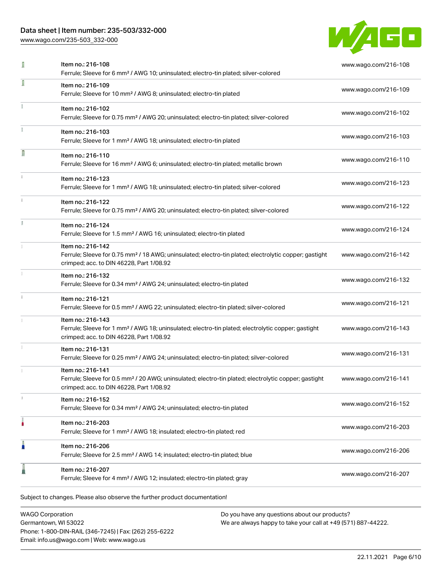[www.wago.com/235-503\\_332-000](http://www.wago.com/235-503_332-000)



| ſ  | Item no.: 216-108<br>Ferrule; Sleeve for 6 mm <sup>2</sup> / AWG 10; uninsulated; electro-tin plated; silver-colored                                                               | www.wago.com/216-108 |
|----|------------------------------------------------------------------------------------------------------------------------------------------------------------------------------------|----------------------|
|    | Item no.: 216-109<br>Ferrule; Sleeve for 10 mm <sup>2</sup> / AWG 8; uninsulated; electro-tin plated                                                                               | www.wago.com/216-109 |
|    | Item no.: 216-102<br>Ferrule; Sleeve for 0.75 mm <sup>2</sup> / AWG 20; uninsulated; electro-tin plated; silver-colored                                                            | www.wago.com/216-102 |
|    | Item no.: 216-103<br>Ferrule; Sleeve for 1 mm <sup>2</sup> / AWG 18; uninsulated; electro-tin plated                                                                               | www.wago.com/216-103 |
| Ω  | Item no.: 216-110<br>Ferrule; Sleeve for 16 mm <sup>2</sup> / AWG 6; uninsulated; electro-tin plated; metallic brown                                                               | www.wago.com/216-110 |
|    | Item no.: 216-123<br>Ferrule; Sleeve for 1 mm <sup>2</sup> / AWG 18; uninsulated; electro-tin plated; silver-colored                                                               | www.wago.com/216-123 |
|    | Item no.: 216-122<br>Ferrule; Sleeve for 0.75 mm <sup>2</sup> / AWG 20; uninsulated; electro-tin plated; silver-colored                                                            | www.wago.com/216-122 |
| I. | Item no.: 216-124<br>Ferrule; Sleeve for 1.5 mm <sup>2</sup> / AWG 16; uninsulated; electro-tin plated                                                                             | www.wago.com/216-124 |
|    | Item no.: 216-142<br>Ferrule; Sleeve for 0.75 mm <sup>2</sup> / 18 AWG; uninsulated; electro-tin plated; electrolytic copper; gastight<br>crimped; acc. to DIN 46228, Part 1/08.92 | www.wago.com/216-142 |
|    | Item no.: 216-132<br>Ferrule; Sleeve for 0.34 mm <sup>2</sup> / AWG 24; uninsulated; electro-tin plated                                                                            | www.wago.com/216-132 |
|    | Item no.: 216-121<br>Ferrule; Sleeve for 0.5 mm <sup>2</sup> / AWG 22; uninsulated; electro-tin plated; silver-colored                                                             | www.wago.com/216-121 |
|    | Item no.: 216-143<br>Ferrule; Sleeve for 1 mm <sup>2</sup> / AWG 18; uninsulated; electro-tin plated; electrolytic copper; gastight<br>crimped; acc. to DIN 46228, Part 1/08.92    | www.wago.com/216-143 |
|    | Item no.: 216-131<br>Ferrule; Sleeve for 0.25 mm <sup>2</sup> / AWG 24; uninsulated; electro-tin plated; silver-colored                                                            | www.wago.com/216-131 |
|    | Item no.: 216-141<br>Ferrule; Sleeve for 0.5 mm <sup>2</sup> / 20 AWG; uninsulated; electro-tin plated; electrolytic copper; gastight<br>crimped; acc. to DIN 46228, Part 1/08.92  | www.wago.com/216-141 |
|    | Item no.: 216-152<br>Ferrule; Sleeve for 0.34 mm <sup>2</sup> / AWG 24; uninsulated; electro-tin plated                                                                            | www.wago.com/216-152 |
|    | Item no.: 216-203<br>Ferrule; Sleeve for 1 mm <sup>2</sup> / AWG 18; insulated; electro-tin plated; red                                                                            | www.wago.com/216-203 |
| Ω  | Item no.: 216-206<br>Ferrule; Sleeve for 2.5 mm <sup>2</sup> / AWG 14; insulated; electro-tin plated; blue                                                                         | www.wago.com/216-206 |
|    | Item no.: 216-207<br>Ferrule; Sleeve for 4 mm <sup>2</sup> / AWG 12; insulated; electro-tin plated; gray                                                                           | www.wago.com/216-207 |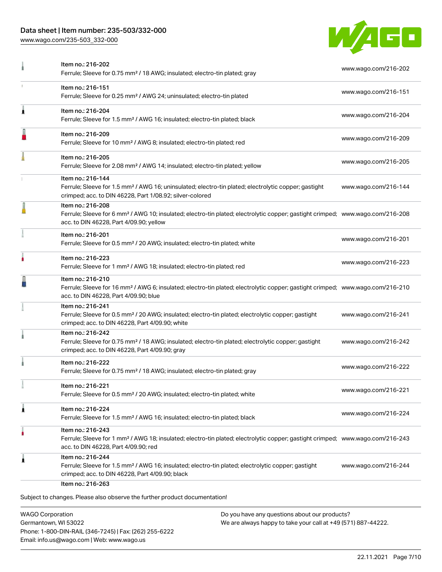[www.wago.com/235-503\\_332-000](http://www.wago.com/235-503_332-000)



| Item no.: 216-202<br>Ferrule; Sleeve for 0.75 mm <sup>2</sup> / 18 AWG; insulated; electro-tin plated; gray                                                                                                | www.wago.com/216-202 |
|------------------------------------------------------------------------------------------------------------------------------------------------------------------------------------------------------------|----------------------|
| Item no.: 216-151<br>Ferrule; Sleeve for 0.25 mm <sup>2</sup> / AWG 24; uninsulated; electro-tin plated                                                                                                    | www.wago.com/216-151 |
| Item no.: 216-204<br>Ferrule; Sleeve for 1.5 mm <sup>2</sup> / AWG 16; insulated; electro-tin plated; black                                                                                                | www.wago.com/216-204 |
| Item no.: 216-209<br>Ferrule; Sleeve for 10 mm <sup>2</sup> / AWG 8; insulated; electro-tin plated; red                                                                                                    | www.wago.com/216-209 |
| Item no.: 216-205<br>Ferrule; Sleeve for 2.08 mm <sup>2</sup> / AWG 14; insulated; electro-tin plated; yellow                                                                                              | www.wago.com/216-205 |
| Item no.: 216-144<br>Ferrule; Sleeve for 1.5 mm <sup>2</sup> / AWG 16; uninsulated; electro-tin plated; electrolytic copper; gastight<br>crimped; acc. to DIN 46228, Part 1/08.92; silver-colored          | www.wago.com/216-144 |
| Item no.: 216-208<br>Ferrule; Sleeve for 6 mm <sup>2</sup> / AWG 10; insulated; electro-tin plated; electrolytic copper; gastight crimped; www.wago.com/216-208<br>acc. to DIN 46228, Part 4/09.90; yellow |                      |
| Item no.: 216-201<br>Ferrule; Sleeve for 0.5 mm <sup>2</sup> / 20 AWG; insulated; electro-tin plated; white                                                                                                | www.wago.com/216-201 |
| Item no.: 216-223<br>Ferrule; Sleeve for 1 mm <sup>2</sup> / AWG 18; insulated; electro-tin plated; red                                                                                                    | www.wago.com/216-223 |
| Item no.: 216-210<br>Ferrule; Sleeve for 16 mm <sup>2</sup> / AWG 6; insulated; electro-tin plated; electrolytic copper; gastight crimped; www.wago.com/216-210<br>acc. to DIN 46228, Part 4/09.90; blue   |                      |
| Item no.: 216-241<br>Ferrule; Sleeve for 0.5 mm <sup>2</sup> / 20 AWG; insulated; electro-tin plated; electrolytic copper; gastight<br>crimped; acc. to DIN 46228, Part 4/09.90; white                     | www.wago.com/216-241 |
| Item no.: 216-242<br>Ferrule; Sleeve for 0.75 mm <sup>2</sup> / 18 AWG; insulated; electro-tin plated; electrolytic copper; gastight<br>crimped; acc. to DIN 46228, Part 4/09.90; gray                     | www.wago.com/216-242 |
| Item no.: 216-222<br>Ferrule; Sleeve for 0.75 mm <sup>2</sup> / 18 AWG; insulated; electro-tin plated; gray                                                                                                | www.wago.com/216-222 |
| Item no.: 216-221<br>Ferrule; Sleeve for 0.5 mm <sup>2</sup> / 20 AWG; insulated; electro-tin plated; white                                                                                                | www.wago.com/216-221 |
| Item no.: 216-224<br>Ferrule; Sleeve for 1.5 mm <sup>2</sup> / AWG 16; insulated; electro-tin plated; black                                                                                                | www.wago.com/216-224 |
| Item no.: 216-243<br>Ferrule; Sleeve for 1 mm <sup>2</sup> / AWG 18; insulated; electro-tin plated; electrolytic copper; gastight crimped; www.wago.com/216-243<br>acc. to DIN 46228, Part 4/09.90; red    |                      |
| Item no.: 216-244<br>Ferrule; Sleeve for 1.5 mm <sup>2</sup> / AWG 16; insulated; electro-tin plated; electrolytic copper; gastight<br>crimped; acc. to DIN 46228, Part 4/09.90; black                     | www.wago.com/216-244 |
|                                                                                                                                                                                                            |                      |

WAGO Corporation Germantown, WI 53022 Phone: 1-800-DIN-RAIL (346-7245) | Fax: (262) 255-6222 Email: info.us@wago.com | Web: www.wago.us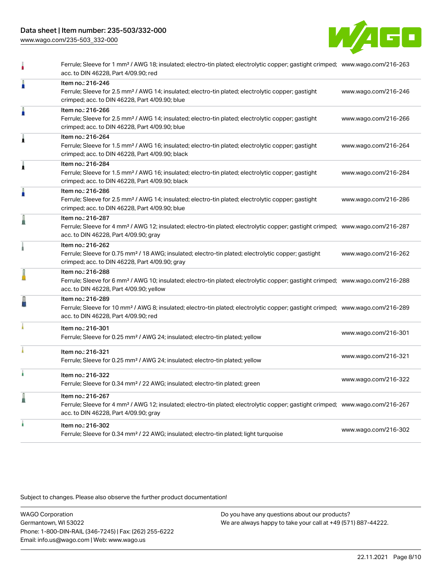[www.wago.com/235-503\\_332-000](http://www.wago.com/235-503_332-000)



|   | Ferrule; Sleeve for 1 mm <sup>2</sup> / AWG 18; insulated; electro-tin plated; electrolytic copper; gastight crimped; www.wago.com/216-263<br>acc. to DIN 46228, Part 4/09.90; red                         |                      |
|---|------------------------------------------------------------------------------------------------------------------------------------------------------------------------------------------------------------|----------------------|
| Å | Item no.: 216-246<br>Ferrule; Sleeve for 2.5 mm <sup>2</sup> / AWG 14; insulated; electro-tin plated; electrolytic copper; gastight<br>crimped; acc. to DIN 46228, Part 4/09.90; blue                      | www.wago.com/216-246 |
| Å | Item no.: 216-266<br>Ferrule; Sleeve for 2.5 mm <sup>2</sup> / AWG 14; insulated; electro-tin plated; electrolytic copper; gastight<br>crimped; acc. to DIN 46228, Part 4/09.90; blue                      | www.wago.com/216-266 |
| Â | Item no.: 216-264<br>Ferrule; Sleeve for 1.5 mm <sup>2</sup> / AWG 16; insulated; electro-tin plated; electrolytic copper; gastight<br>crimped; acc. to DIN 46228, Part 4/09.90; black                     | www.wago.com/216-264 |
| Â | Item no.: 216-284<br>Ferrule; Sleeve for 1.5 mm <sup>2</sup> / AWG 16; insulated; electro-tin plated; electrolytic copper; gastight<br>crimped; acc. to DIN 46228, Part 4/09.90; black                     | www.wago.com/216-284 |
| I | Item no.: 216-286<br>Ferrule; Sleeve for 2.5 mm <sup>2</sup> / AWG 14; insulated; electro-tin plated; electrolytic copper; gastight<br>crimped; acc. to DIN 46228, Part 4/09.90; blue                      | www.wago.com/216-286 |
| I | Item no.: 216-287<br>Ferrule; Sleeve for 4 mm <sup>2</sup> / AWG 12; insulated; electro-tin plated; electrolytic copper; gastight crimped; www.wago.com/216-287<br>acc. to DIN 46228, Part 4/09.90; gray   |                      |
|   | Item no.: 216-262<br>Ferrule; Sleeve for 0.75 mm <sup>2</sup> / 18 AWG; insulated; electro-tin plated; electrolytic copper; gastight<br>crimped; acc. to DIN 46228, Part 4/09.90; gray                     | www.wago.com/216-262 |
|   | Item no.: 216-288<br>Ferrule; Sleeve for 6 mm <sup>2</sup> / AWG 10; insulated; electro-tin plated; electrolytic copper; gastight crimped; www.wago.com/216-288<br>acc. to DIN 46228, Part 4/09.90; yellow |                      |
| ł | Item no.: 216-289<br>Ferrule; Sleeve for 10 mm <sup>2</sup> / AWG 8; insulated; electro-tin plated; electrolytic copper; gastight crimped; www.wago.com/216-289<br>acc. to DIN 46228, Part 4/09.90; red    |                      |
|   | Item no.: 216-301<br>Ferrule; Sleeve for 0.25 mm <sup>2</sup> / AWG 24; insulated; electro-tin plated; yellow                                                                                              | www.wago.com/216-301 |
|   | Item no.: 216-321<br>Ferrule; Sleeve for 0.25 mm <sup>2</sup> / AWG 24; insulated; electro-tin plated; yellow                                                                                              | www.wago.com/216-321 |
|   | Item no.: 216-322<br>Ferrule; Sleeve for 0.34 mm <sup>2</sup> / 22 AWG; insulated; electro-tin plated; green                                                                                               | www.wago.com/216-322 |
| l | Item no.: 216-267<br>Ferrule; Sleeve for 4 mm <sup>2</sup> / AWG 12; insulated; electro-tin plated; electrolytic copper; gastight crimped; www.wago.com/216-267<br>acc. to DIN 46228, Part 4/09.90; gray   |                      |
|   | Item no.: 216-302<br>Ferrule; Sleeve for 0.34 mm <sup>2</sup> / 22 AWG; insulated; electro-tin plated; light turquoise                                                                                     | www.wago.com/216-302 |
|   |                                                                                                                                                                                                            |                      |

Subject to changes. Please also observe the further product documentation!

WAGO Corporation Germantown, WI 53022 Phone: 1-800-DIN-RAIL (346-7245) | Fax: (262) 255-6222 Email: info.us@wago.com | Web: www.wago.us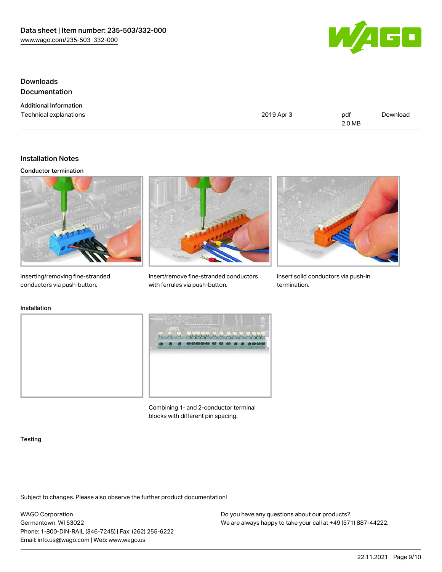

## Downloads **Documentation**

| <b>Additional Information</b> |  |
|-------------------------------|--|
| Technical explanations        |  |

2019 Apr 3 pdf 2.0 MB [Download](https://www.wago.com/global/d/1435602)

### Installation Notes

#### Conductor termination



Inserting/removing fine-stranded conductors via push-button.



Insert/remove fine-stranded conductors with ferrules via push-button.



Insert solid conductors via push-in termination.

## Installation





Combining 1- and 2-conductor terminal blocks with different pin spacing.

#### **Testing**

Subject to changes. Please also observe the further product documentation!

WAGO Corporation Germantown, WI 53022 Phone: 1-800-DIN-RAIL (346-7245) | Fax: (262) 255-6222 Email: info.us@wago.com | Web: www.wago.us